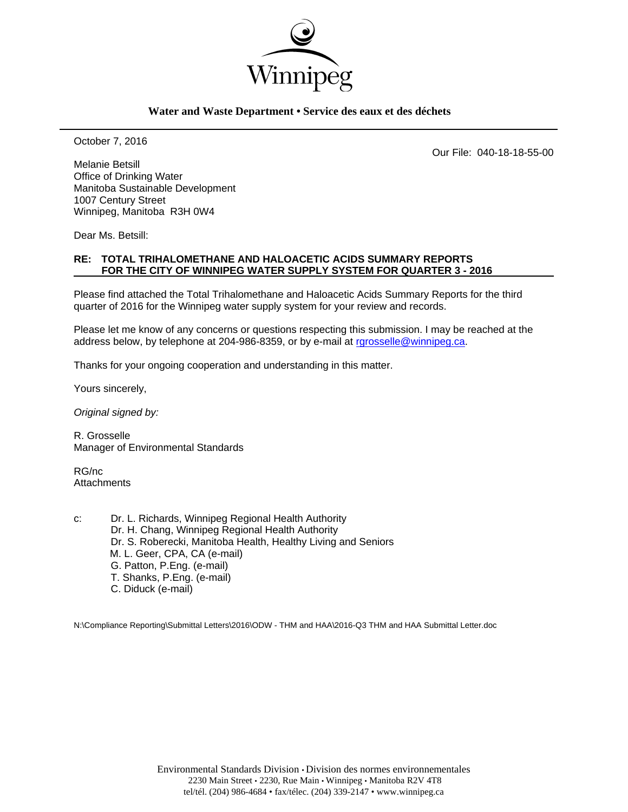

#### **Water and Waste Department • Service des eaux et des déchets**

October 7, 2016

Our File: 040-18-18-55-00

Melanie Betsill Office of Drinking Water Manitoba Sustainable Development 1007 Century Street Winnipeg, Manitoba R3H 0W4

Dear Ms. Betsill:

### **RE: TOTAL TRIHALOMETHANE AND HALOACETIC ACIDS SUMMARY REPORTS FOR THE CITY OF WINNIPEG WATER SUPPLY SYSTEM FOR QUARTER 3 - 2016**

Please find attached the Total Trihalomethane and Haloacetic Acids Summary Reports for the third quarter of 2016 for the Winnipeg water supply system for your review and records.

Please let me know of any concerns or questions respecting this submission. I may be reached at the address below, by telephone at 204-986-8359, or by e-mail at rgrosselle@winnipeg.ca.

Thanks for your ongoing cooperation and understanding in this matter.

Yours sincerely,

*Original signed by:* 

R. Grosselle Manager of Environmental Standards

RG/nc **Attachments** 

c: Dr. L. Richards, Winnipeg Regional Health Authority Dr. H. Chang, Winnipeg Regional Health Authority Dr. S. Roberecki, Manitoba Health, Healthy Living and Seniors M. L. Geer, CPA, CA (e-mail) G. Patton, P.Eng. (e-mail) T. Shanks, P.Eng. (e-mail) C. Diduck (e-mail)

N:\Compliance Reporting\Submittal Letters\2016\ODW - THM and HAA\2016-Q3 THM and HAA Submittal Letter.doc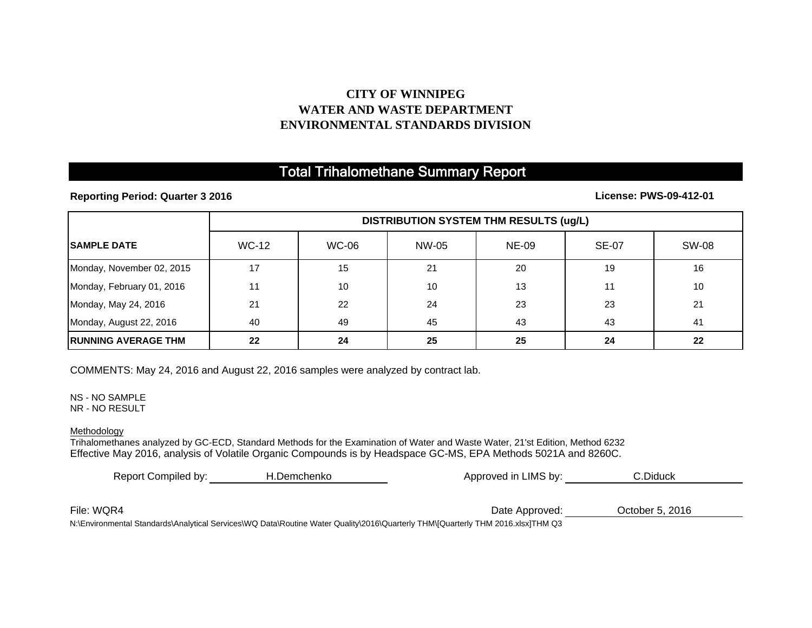## **CITY OF WINNIPEG WATER AND WASTE DEPARTMENTENVIRONMENTAL STANDARDS DIVISION**

## Total Trihalomethane Summary Report

**Reporting Period: Quarter 3 2016**

**License: PWS-09-412-01**

|                             | <b>DISTRIBUTION SYSTEM THM RESULTS (ug/L)</b> |              |       |              |              |              |  |
|-----------------------------|-----------------------------------------------|--------------|-------|--------------|--------------|--------------|--|
| <b>ISAMPLE DATE</b>         | <b>WC-12</b>                                  | <b>WC-06</b> | NW-05 | <b>NE-09</b> | <b>SE-07</b> | <b>SW-08</b> |  |
| Monday, November 02, 2015   | 17                                            | 15           | 21    | 20           | 19           | 16           |  |
| Monday, February 01, 2016   | 11                                            | 10           | 10    | 13           | 11           | 10           |  |
| Monday, May 24, 2016        | 21                                            | 22           | 24    | 23           | 23           | 21           |  |
| Monday, August 22, 2016     | 40                                            | 49           | 45    | 43           | 43           | 41           |  |
| <b>IRUNNING AVERAGE THM</b> | 22                                            | 24           | 25    | 25           | 24           | 22           |  |

COMMENTS: May 24, 2016 and August 22, 2016 samples were analyzed by contract lab.

NS - NO SAMPLENR - NO RESULT

Methodology

Trihalomethanes analyzed by GC-ECD, Standard Methods for the Examination of Water and Waste Water, 21'st Edition, Method 6232 Effective May 2016, analysis of Volatile Organic Compounds is by Headspace GC-MS, EPA Methods 5021A and 8260C.

| Report Compiled by:                                                                                                             | H.Demchenko | Approved in LIMS by: | C.Diduck        |  |
|---------------------------------------------------------------------------------------------------------------------------------|-------------|----------------------|-----------------|--|
|                                                                                                                                 |             |                      |                 |  |
| File: WQR4                                                                                                                      |             | Date Approved:       | October 5, 2016 |  |
| N:\Environmental Standards\Analytical Services\WQ Data\Routine Water Quality\2016\Quarterly THM\[Quarterly THM 2016.xlsx]THM Q3 |             |                      |                 |  |